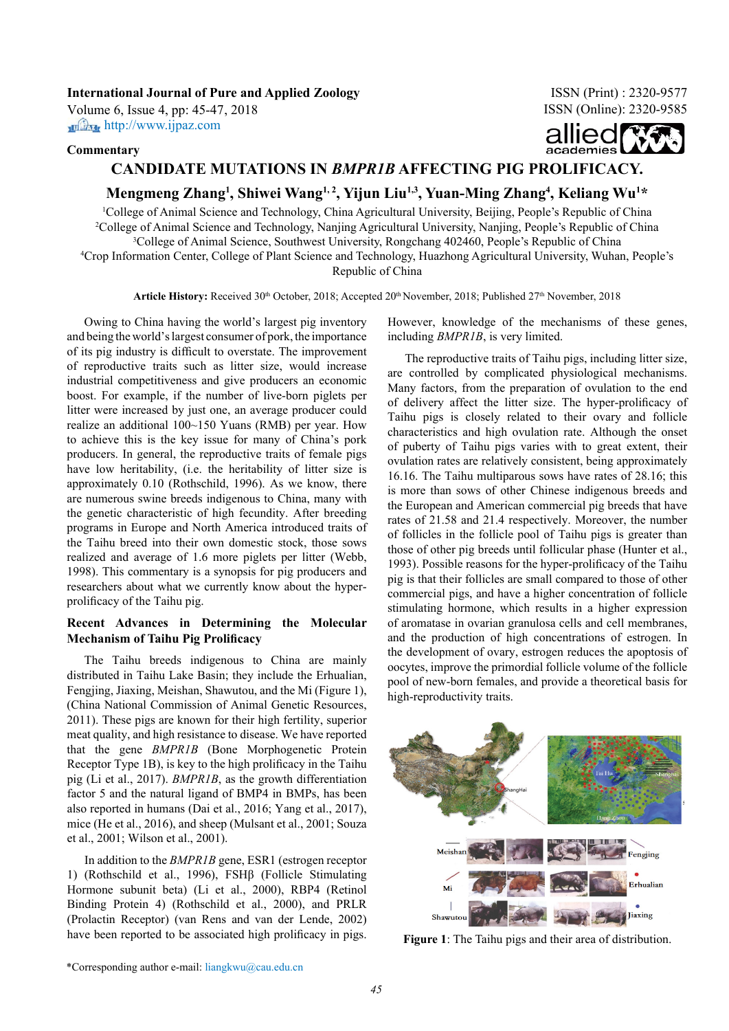**International Journal of Pure and Applied Zoology ISSN (Print) : 2320-9577** Volume 6, Issue 4, pp: 45-47 , 2018

**http://www.ijpaz.com** 

### **Commentary**

ISSN (Online): 2320-9585



# **CANDIDATE MUTATIONS IN** *BMPR1B* **AFFECTING PIG PROLIFICACY.**

# Mengmeng Zhang<sup>1</sup>, Shiwei Wang<sup>1, 2</sup>, Yijun Liu<sup>1,3</sup>, Yuan-Ming Zhang<sup>4</sup>, Keliang Wu<sup>1\*</sup>

 College of Animal Science and Technology, China Agricultural University, Beijing, People's Republic of China College of Animal Science and Technology, Nanjing Agricultural University, Nanjing, People's Republic of China College of Animal Science, Southwest University, Rongchang 402460, People's Republic of China Crop Information Center, College of Plant Science and Technology, Huazhong Agricultural University, Wuhan, People's

Republic of China

Article History: Received 30<sup>th</sup> October, 2018; Accepted 20<sup>th</sup> November, 2018; Published 27<sup>th</sup> November, 2018

Owing to China having the world's largest pig inventory and being the world's largest consumer of pork, the importance of its pig industry is difficult to overstate. The improvement of reproductive traits such as litter size, would increase industrial competitiveness and give producers an economic boost. For example, if the number of live-born piglets per litter were increased by just one, an average producer could realize an additional 100~150 Yuans (RMB) per year. How to achieve this is the key issue for many of China's pork producers. In general, the reproductive traits of female pigs have low heritability, (i.e. the heritability of litter size is approximately 0.10 (Rothschild, 1996). As we know, there are numerous swine breeds indigenous to China, many with the genetic characteristic of high fecundity. After breeding programs in Europe and North America introduced traits of the Taihu breed into their own domestic stock, those sows realized and average of 1.6 more piglets per litter (Webb, 1998). This commentary is a synopsis for pig producers and researchers about what we currently know about the hyperprolificacy of the Taihu pig.

# **Recent Advances in Determining the Molecular Mechanism of Taihu Pig Prolificacy**

The Taihu breeds indigenous to China are mainly distributed in Taihu Lake Basin; they include the Erhualian, Fengjing, Jiaxing, Meishan, Shawutou, and the Mi (Figure 1), (China National Commission of Animal Genetic Resources, 2011). These pigs are known for their high fertility, superior meat quality, and high resistance to disease. We have reported that the gene *BMPR1B* (Bone Morphogenetic Protein Receptor Type 1B), is key to the high prolificacy in the Taihu pig (Li et al., 2017). *BMPR1B*, as the growth differentiation factor 5 and the natural ligand of BMP4 in BMPs, has been also reported in humans (Dai et al., 2016; Yang et al., 2017), mice (He et al., 2016), and sheep (Mulsant et al., 2001; Souza et al., 2001; Wilson et al., 2001).

In addition to the *BMPR1B* gene, ESR1 (estrogen receptor 1) (Rothschild et al., 1996), FSHβ (Follicle Stimulating Hormone subunit beta) (Li et al., 2000), RBP4 (Retinol Binding Protein 4) (Rothschild et al., 2000), and PRLR (Prolactin Receptor) (van Rens and van der Lende, 2002) have been reported to be associated high prolificacy in pigs. However, knowledge of the mechanisms of these genes, including *BMPR1B*, is very limited.

The reproductive traits of Taihu pigs, including litter size, are controlled by complicated physiological mechanisms. Many factors, from the preparation of ovulation to the end of delivery affect the litter size. The hyper-prolificacy of Taihu pigs is closely related to their ovary and follicle characteristics and high ovulation rate. Although the onset of puberty of Taihu pigs varies with to great extent, their ovulation rates are relatively consistent, being approximately 16.16. The Taihu multiparous sows have rates of 28.16; this is more than sows of other Chinese indigenous breeds and the European and American commercial pig breeds that have rates of 21.58 and 21.4 respectively. Moreover, the number of follicles in the follicle pool of Taihu pigs is greater than those of other pig breeds until follicular phase (Hunter et al., 1993). Possible reasons for the hyper-prolificacy of the Taihu pig is that their follicles are small compared to those of other commercial pigs, and have a higher concentration of follicle stimulating hormone, which results in a higher expression of aromatase in ovarian granulosa cells and cell membranes, and the production of high concentrations of estrogen. In the development of ovary, estrogen reduces the apoptosis of oocytes, improve the primordial follicle volume of the follicle pool of new-born females, and provide a theoretical basis for high-reproductivity traits.



**Figure 1**: The Taihu pigs and their area of distribution.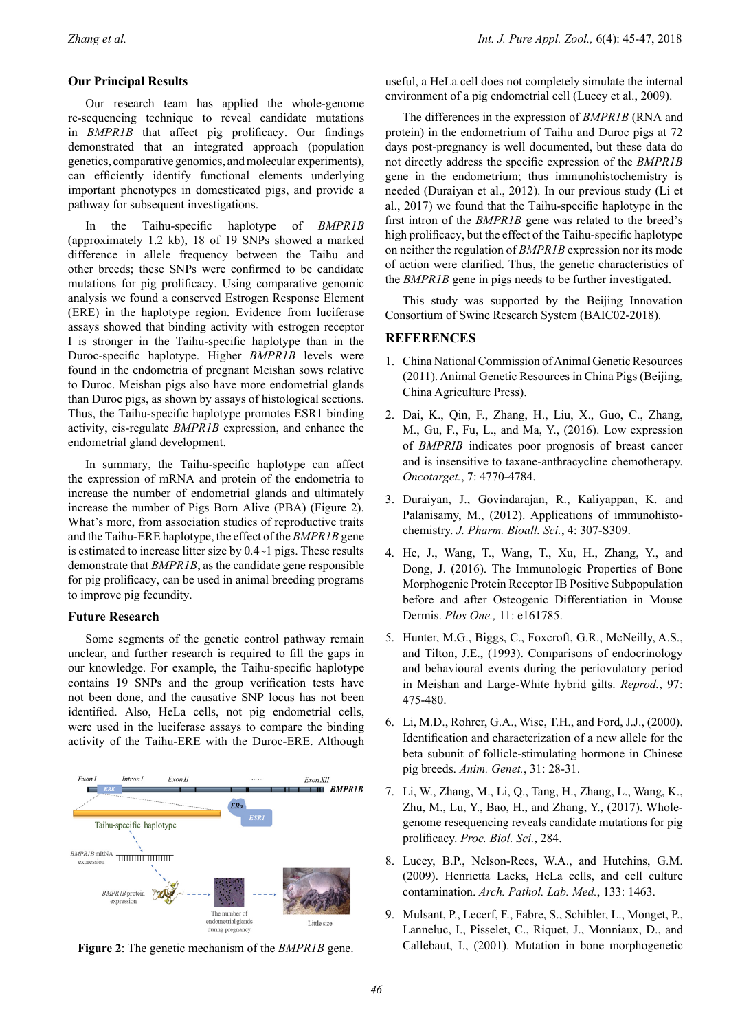#### **Our Principal Results**

Our research team has applied the whole-genome re-sequencing technique to reveal candidate mutations in *BMPR1B* that affect pig prolificacy. Our findings demonstrated that an integrated approach (population genetics, comparative genomics, and molecular experiments), can efficiently identify functional elements underlying important phenotypes in domesticated pigs, and provide a pathway for subsequent investigations.

In the Taihu-specific haplotype of *BMPR1B* (approximately 1.2 kb), 18 of 19 SNPs showed a marked difference in allele frequency between the Taihu and other breeds; these SNPs were confirmed to be candidate mutations for pig prolificacy. Using comparative genomic analysis we found a conserved Estrogen Response Element (ERE) in the haplotype region. Evidence from luciferase assays showed that binding activity with estrogen receptor I is stronger in the Taihu-specific haplotype than in the Duroc-specific haplotype. Higher *BMPR1B* levels were found in the endometria of pregnant Meishan sows relative to Duroc. Meishan pigs also have more endometrial glands than Duroc pigs, as shown by assays of histological sections. Thus, the Taihu-specific haplotype promotes ESR1 binding activity, cis-regulate *BMPR1B* expression, and enhance the endometrial gland development.

In summary, the Taihu-specific haplotype can affect the expression of mRNA and protein of the endometria to increase the number of endometrial glands and ultimately increase the number of Pigs Born Alive (PBA) (Figure 2). What's more, from association studies of reproductive traits and the Taihu-ERE haplotype, the effect of the *BMPR1B* gene is estimated to increase litter size by 0.4~1 pigs. These results demonstrate that *BMPR1B*, as the candidate gene responsible for pig prolificacy, can be used in animal breeding programs to improve pig fecundity.

#### **Future Research**

Some segments of the genetic control pathway remain unclear, and further research is required to fill the gaps in our knowledge. For example, the Taihu-specific haplotype contains 19 SNPs and the group verification tests have not been done, and the causative SNP locus has not been identified. Also, HeLa cells, not pig endometrial cells, were used in the luciferase assays to compare the binding activity of the Taihu-ERE with the Duroc-ERE. Although



useful, a HeLa cell does not completely simulate the internal environment of a pig endometrial cell (Lucey et al., 2009).

The differences in the expression of *BMPR1B* (RNA and protein) in the endometrium of Taihu and Duroc pigs at 72 days post-pregnancy is well documented, but these data do not directly address the specific expression of the *BMPR1B* gene in the endometrium; thus immunohistochemistry is needed (Duraiyan et al., 2012). In our previous study (Li et al., 2017) we found that the Taihu-specific haplotype in the first intron of the *BMPR1B* gene was related to the breed's high prolificacy, but the effect of the Taihu-specific haplotype on neither the regulation of *BMPR1B* expression nor its mode of action were clarified. Thus, the genetic characteristics of the *BMPR1B* gene in pigs needs to be further investigated.

This study was supported by the Beijing Innovation Consortium of Swine Research System (BAIC02-2018).

## **REFERENCES**

- 1. China National Commission of Animal Genetic Resources (2011). Animal Genetic Resources in China Pigs (Beijing, China Agriculture Press).
- 2. Dai, K., Qin, F., Zhang, H., Liu, X., Guo, C., Zhang, M., Gu, F., Fu, L., and Ma, Y., (2016). Low expression of *BMPRIB* indicates poor prognosis of breast cancer and is insensitive to taxane-anthracycline chemotherapy. *Oncotarget.*, 7: 4770-4784.
- 3. Duraiyan, J., Govindarajan, R., Kaliyappan, K. and Palanisamy, M., (2012). Applications of immunohistochemistry. *J. Pharm. Bioall. Sci.*, 4: 307-S309.
- 4. He, J., Wang, T., Wang, T., Xu, H., Zhang, Y., and Dong, J. (2016). The Immunologic Properties of Bone Morphogenic Protein Receptor IB Positive Subpopulation before and after Osteogenic Differentiation in Mouse Dermis. *Plos One.,* 11: e161785.
- 5. Hunter, M.G., Biggs, C., Foxcroft, G.R., McNeilly, A.S., and Tilton, J.E., (1993). Comparisons of endocrinology and behavioural events during the periovulatory period in Meishan and Large-White hybrid gilts. *Reprod.*, 97: 475-480.
- 6. Li, M.D., Rohrer, G.A., Wise, T.H., and Ford, J.J., (2000). Identification and characterization of a new allele for the beta subunit of follicle-stimulating hormone in Chinese pig breeds. *Anim. Genet.*, 31: 28-31.
- 7. Li, W., Zhang, M., Li, Q., Tang, H., Zhang, L., Wang, K., Zhu, M., Lu, Y., Bao, H., and Zhang, Y., (2017). Wholegenome resequencing reveals candidate mutations for pig prolificacy. *Proc. Biol. Sci.*, 284.
- 8. Lucey, B.P., Nelson-Rees, W.A., and Hutchins, G.M. (2009). Henrietta Lacks, HeLa cells, and cell culture contamination. *Arch. Pathol. Lab. Med.*, 133: 1463.
- 9. Mulsant, P., Lecerf, F., Fabre, S., Schibler, L., Monget, P., Lanneluc, I., Pisselet, C., Riquet, J., Monniaux, D., and **Figure 2**: The genetic mechanism of the *BMPR1B* gene. Callebaut, I., (2001). Mutation in bone morphogenetic